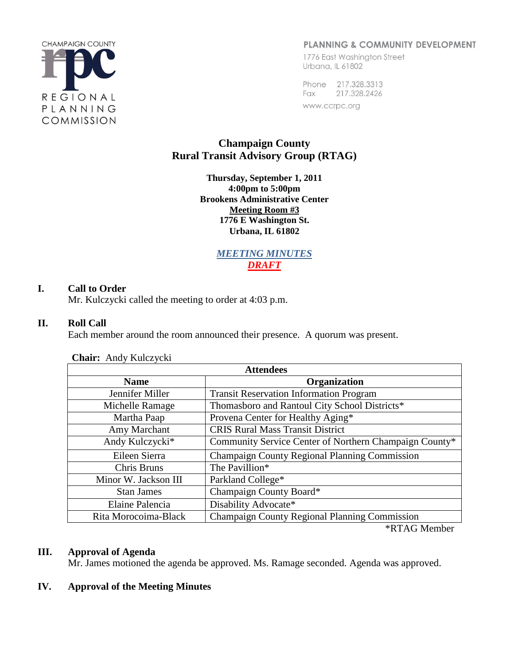

#### PLANNING & COMMUNITY DEVELOPMENT

1776 East Washington Street Urbana, IL 61802

Phone 217.328.3313 Fax 217.328.2426 www.ccrpc.org

# **Champaign County Rural Transit Advisory Group (RTAG)**

**Thursday, September 1, 2011 4:00pm to 5:00pm Brookens Administrative Center Meeting Room #3 1776 E Washington St. Urbana, IL 61802**

> *MEETING MINUTES DRAFT*

#### **I. Call to Order**

Mr. Kulczycki called the meeting to order at 4:03 p.m.

#### **II. Roll Call**

Each member around the room announced their presence. A quorum was present.

| <b>Attendees</b>     |                                                        |  |  |  |  |
|----------------------|--------------------------------------------------------|--|--|--|--|
| <b>Name</b>          | Organization                                           |  |  |  |  |
| Jennifer Miller      | <b>Transit Reservation Information Program</b>         |  |  |  |  |
| Michelle Ramage      | Thomasboro and Rantoul City School Districts*          |  |  |  |  |
| Martha Paap          | Provena Center for Healthy Aging*                      |  |  |  |  |
| Amy Marchant         | <b>CRIS Rural Mass Transit District</b>                |  |  |  |  |
| Andy Kulczycki*      | Community Service Center of Northern Champaign County* |  |  |  |  |
| Eileen Sierra        | Champaign County Regional Planning Commission          |  |  |  |  |
| Chris Bruns          | The Pavillion*                                         |  |  |  |  |
| Minor W. Jackson III | Parkland College*                                      |  |  |  |  |
| <b>Stan James</b>    | Champaign County Board*                                |  |  |  |  |
| Elaine Palencia      | Disability Advocate*                                   |  |  |  |  |
| Rita Morocoima-Black | <b>Champaign County Regional Planning Commission</b>   |  |  |  |  |

**Chair:** Andy Kulczycki

\*RTAG Member

#### **III. Approval of Agenda**

Mr. James motioned the agenda be approved. Ms. Ramage seconded. Agenda was approved.

#### **IV. Approval of the Meeting Minutes**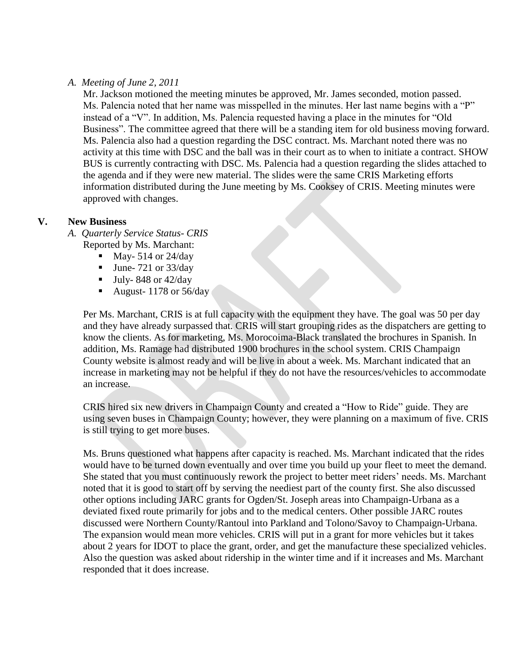#### *A. Meeting of June 2, 2011*

Mr. Jackson motioned the meeting minutes be approved, Mr. James seconded, motion passed. Ms. Palencia noted that her name was misspelled in the minutes. Her last name begins with a "P" instead of a "V". In addition, Ms. Palencia requested having a place in the minutes for "Old Business". The committee agreed that there will be a standing item for old business moving forward. Ms. Palencia also had a question regarding the DSC contract. Ms. Marchant noted there was no activity at this time with DSC and the ball was in their court as to when to initiate a contract. SHOW BUS is currently contracting with DSC. Ms. Palencia had a question regarding the slides attached to the agenda and if they were new material. The slides were the same CRIS Marketing efforts information distributed during the June meeting by Ms. Cooksey of CRIS. Meeting minutes were approved with changes.

#### **V. New Business**

- *A. Quarterly Service Status- CRIS*
	- Reported by Ms. Marchant:
		- $\blacksquare$  May- 514 or 24/day
		- $\blacksquare$  June- 721 or 33/day
		- $\blacksquare$  July-848 or 42/day
		- August- 1178 or 56/day

Per Ms. Marchant, CRIS is at full capacity with the equipment they have. The goal was 50 per day and they have already surpassed that. CRIS will start grouping rides as the dispatchers are getting to know the clients. As for marketing, Ms. Morocoima-Black translated the brochures in Spanish. In addition, Ms. Ramage had distributed 1900 brochures in the school system. CRIS Champaign County website is almost ready and will be live in about a week. Ms. Marchant indicated that an increase in marketing may not be helpful if they do not have the resources/vehicles to accommodate an increase.

CRIS hired six new drivers in Champaign County and created a "How to Ride" guide. They are using seven buses in Champaign County; however, they were planning on a maximum of five. CRIS is still trying to get more buses.

Ms. Bruns questioned what happens after capacity is reached. Ms. Marchant indicated that the rides would have to be turned down eventually and over time you build up your fleet to meet the demand. She stated that you must continuously rework the project to better meet riders' needs. Ms. Marchant noted that it is good to start off by serving the neediest part of the county first. She also discussed other options including JARC grants for Ogden/St. Joseph areas into Champaign-Urbana as a deviated fixed route primarily for jobs and to the medical centers. Other possible JARC routes discussed were Northern County/Rantoul into Parkland and Tolono/Savoy to Champaign-Urbana. The expansion would mean more vehicles. CRIS will put in a grant for more vehicles but it takes about 2 years for IDOT to place the grant, order, and get the manufacture these specialized vehicles. Also the question was asked about ridership in the winter time and if it increases and Ms. Marchant responded that it does increase.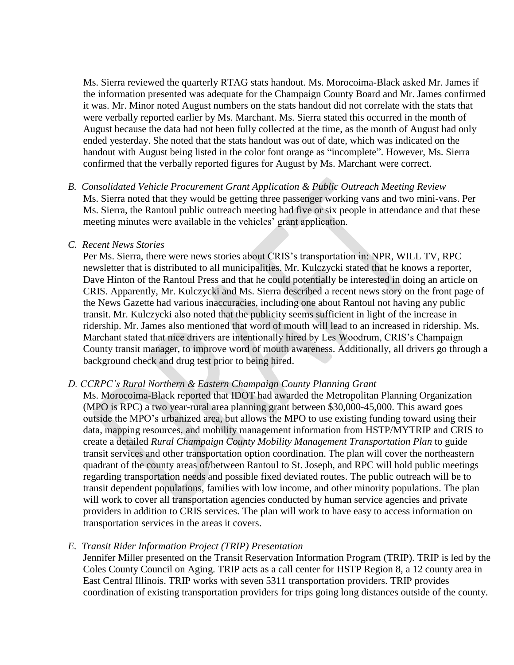Ms. Sierra reviewed the quarterly RTAG stats handout. Ms. Morocoima-Black asked Mr. James if the information presented was adequate for the Champaign County Board and Mr. James confirmed it was. Mr. Minor noted August numbers on the stats handout did not correlate with the stats that were verbally reported earlier by Ms. Marchant. Ms. Sierra stated this occurred in the month of August because the data had not been fully collected at the time, as the month of August had only ended yesterday. She noted that the stats handout was out of date, which was indicated on the handout with August being listed in the color font orange as "incomplete". However, Ms. Sierra confirmed that the verbally reported figures for August by Ms. Marchant were correct.

*B. Consolidated Vehicle Procurement Grant Application & Public Outreach Meeting Review* Ms. Sierra noted that they would be getting three passenger working vans and two mini-vans. Per Ms. Sierra, the Rantoul public outreach meeting had five or six people in attendance and that these meeting minutes were available in the vehicles' grant application.

#### *C. Recent News Stories*

Per Ms. Sierra, there were news stories about CRIS's transportation in: NPR, WILL TV, RPC newsletter that is distributed to all municipalities. Mr. Kulczycki stated that he knows a reporter, Dave Hinton of the Rantoul Press and that he could potentially be interested in doing an article on CRIS. Apparently, Mr. Kulczycki and Ms. Sierra described a recent news story on the front page of the News Gazette had various inaccuracies, including one about Rantoul not having any public transit. Mr. Kulczycki also noted that the publicity seems sufficient in light of the increase in ridership. Mr. James also mentioned that word of mouth will lead to an increased in ridership. Ms. Marchant stated that nice drivers are intentionally hired by Les Woodrum, CRIS's Champaign County transit manager, to improve word of mouth awareness. Additionally, all drivers go through a background check and drug test prior to being hired.

#### *D. CCRPC's Rural Northern & Eastern Champaign County Planning Grant*

Ms. Morocoima-Black reported that IDOT had awarded the Metropolitan Planning Organization (MPO is RPC) a two year-rural area planning grant between \$30,000-45,000. This award goes outside the MPO's urbanized area, but allows the MPO to use existing funding toward using their data, mapping resources, and mobility management information from HSTP/MYTRIP and CRIS to create a detailed *Rural Champaign County Mobility Management Transportation Plan* to guide transit services and other transportation option coordination. The plan will cover the northeastern quadrant of the county areas of/between Rantoul to St. Joseph, and RPC will hold public meetings regarding transportation needs and possible fixed deviated routes. The public outreach will be to transit dependent populations, families with low income, and other minority populations. The plan will work to cover all transportation agencies conducted by human service agencies and private providers in addition to CRIS services. The plan will work to have easy to access information on transportation services in the areas it covers.

#### *E. Transit Rider Information Project (TRIP) Presentation*

Jennifer Miller presented on the Transit Reservation Information Program (TRIP). TRIP is led by the Coles County Council on Aging. TRIP acts as a call center for HSTP Region 8, a 12 county area in East Central Illinois. TRIP works with seven 5311 transportation providers. TRIP provides coordination of existing transportation providers for trips going long distances outside of the county.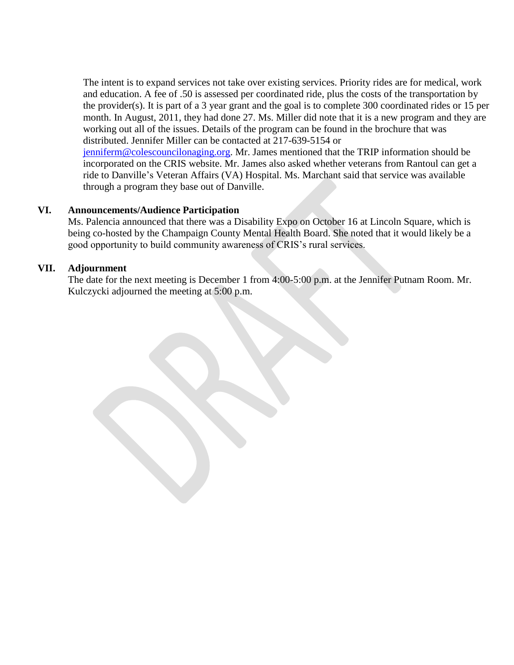The intent is to expand services not take over existing services. Priority rides are for medical, work and education. A fee of .50 is assessed per coordinated ride, plus the costs of the transportation by the provider(s). It is part of a 3 year grant and the goal is to complete 300 coordinated rides or 15 per month. In August, 2011, they had done 27. Ms. Miller did note that it is a new program and they are working out all of the issues. Details of the program can be found in the brochure that was distributed. Jennifer Miller can be contacted at 217-639-5154 or [jenniferm@colescouncilonaging.org.](mailto:jenniferm@colescouncilonaging.org) Mr. James mentioned that the TRIP information should be incorporated on the CRIS website. Mr. James also asked whether veterans from Rantoul can get a ride to Danville's Veteran Affairs (VA) Hospital. Ms. Marchant said that service was available through a program they base out of Danville.

#### **VI. Announcements/Audience Participation**

Ms. Palencia announced that there was a Disability Expo on October 16 at Lincoln Square, which is being co-hosted by the Champaign County Mental Health Board. She noted that it would likely be a good opportunity to build community awareness of CRIS's rural services.

#### **VII. Adjournment**

The date for the next meeting is December 1 from 4:00-5:00 p.m. at the Jennifer Putnam Room. Mr. Kulczycki adjourned the meeting at 5:00 p.m.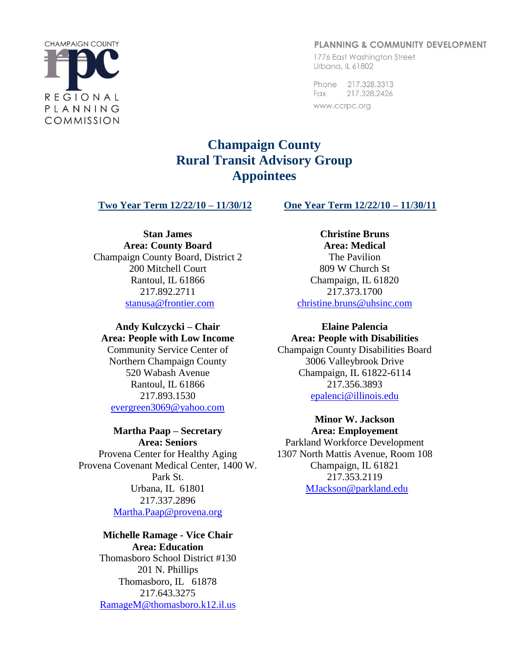#### **PLANNING & COMMUNITY DEVELOPMENT**

1776 East Washington Street Urbana, IL 61802

Phone 217.328.3313 Fax 217.328.2426 www.ccrpc.org

# **Champaign County Rural Transit Advisory Group Appointees**

**Two Year Term 12/22/10 – 11/30/12 One Year Term 12/22/10 – 11/30/11**

**Stan James Area: County Board** Champaign County Board, District 2 200 Mitchell Court Rantoul, IL 61866 217.892.2711 [stanusa@frontier.com](mailto:stanusa@frontier.com)

#### **Andy Kulczycki – Chair Area: People with Low Income**

Community Service Center of Northern Champaign County 520 Wabash Avenue Rantoul, IL 61866 217.893.1530 [evergreen3069@yahoo.com](mailto:evergreen3069@yahoo.com)

# **Martha Paap – Secretary**

**Area: Seniors** Provena Center for Healthy Aging Provena Covenant Medical Center, 1400 W. Park St. Urbana, IL 61801 217.337.2896 [Martha.Paap@provena.org](mailto:Martha.Paap@provena.org)

## **Michelle Ramage - Vice Chair**

**Area: Education** Thomasboro School District #130 201 N. Phillips Thomasboro, IL 61878 217.643.3275 [RamageM@thomasboro.k12.il.us](mailto:RamageM@thomasboro.k12.il.us)

**Christine Bruns Area: Medical**  The Pavilion 809 W Church St Champaign, IL 61820 217.373.1700 [christine.bruns@uhsinc.com](mailto:christine.bruns@uhsinc.com)

# **Elaine Palencia**

**Area: People with Disabilities** Champaign County Disabilities Board 3006 Valleybrook Drive Champaign, IL 61822-6114 217.356.3893 [epalenci@illinois.edu](mailto:epalenci@illinois.edu)

> **Minor W. Jackson Area: Employement**

Parkland Workforce Development 1307 North Mattis Avenue, Room 108 Champaign, IL 61821 217.353.2119 [MJackson@parkland.edu](mailto:MJackson@parkland.edu)

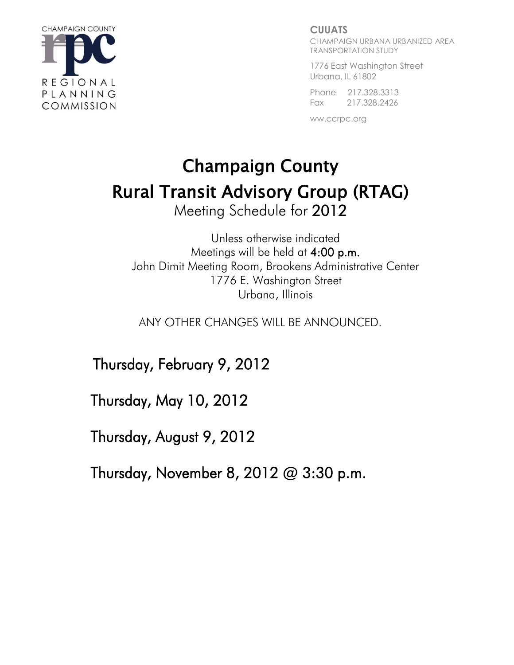

#### **CUUATS**

CHAMPAIGN URBANA URBANIZED AREA TRANSPORTATION STUDY

1776 East Washington Street Urbana, IL 61802

Phone 217.328.3313 Fax 217.328.2426

ww.ccrpc.org

# Champaign County Rural Transit Advisory Group (RTAG) Meeting Schedule for 2012

Unless otherwise indicated Meetings will be held at 4:00 p.m. John Dimit Meeting Room, Brookens Administrative Center 1776 E. Washington Street Urbana, Illinois

ANY OTHER CHANGES WILL BE ANNOUNCED.

Thursday, February 9, 2012

Thursday, May 10, 2012

Thursday, August 9, 2012

Thursday, November 8, 2012 @ 3:30 p.m.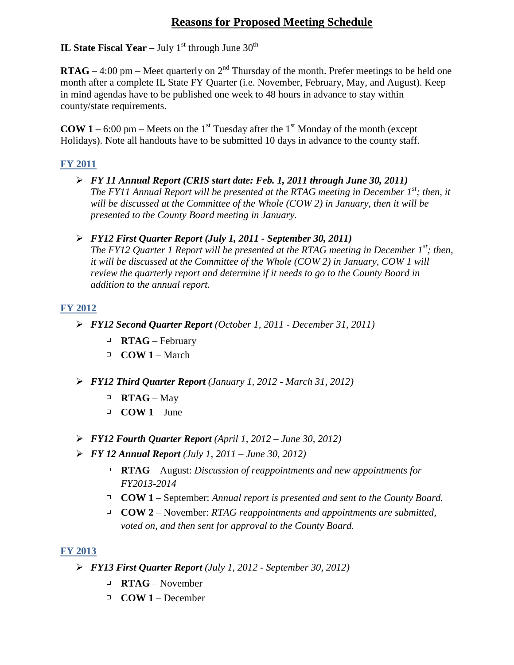# **Reasons for Proposed Meeting Schedule**

## **IL State Fiscal Year – July**  $1^{st}$  **through June**  $30^{th}$

**RTAG** – 4:00 pm – Meet quarterly on  $2<sup>nd</sup>$  Thursday of the month. Prefer meetings to be held one month after a complete IL State FY Quarter (i.e. November, February, May, and August). Keep in mind agendas have to be published one week to 48 hours in advance to stay within county/state requirements.

**COW 1** – 6:00 pm – Meets on the 1<sup>st</sup> Tuesday after the 1<sup>st</sup> Monday of the month (except Holidays). Note all handouts have to be submitted 10 days in advance to the county staff.

#### **FY 2011**

- *FY 11 Annual Report (CRIS start date: Feb. 1, 2011 through June 30, 2011) The FY11 Annual Report will be presented at the RTAG meeting in December 1st; then, it will be discussed at the Committee of the Whole (COW 2) in January, then it will be presented to the County Board meeting in January.*
- *FY12 First Quarter Report (July 1, 2011 - September 30, 2011) The FY12 Quarter 1 Report will be presented at the RTAG meeting in December 1st; then, it will be discussed at the Committee of the Whole (COW 2) in January, COW 1 will review the quarterly report and determine if it needs to go to the County Board in addition to the annual report.*

## **FY 2012**

- *FY12 Second Quarter Report (October 1, 2011 - December 31, 2011)*
	- **RTAG** February
	- $\Box$  **COW 1** March
- *FY12 Third Quarter Report (January 1, 2012 - March 31, 2012)*
	- **RTAG** May
	- $\Box$  **COW 1** June
- *FY12 Fourth Quarter Report (April 1, 2012 – June 30, 2012)*
- *FY 12 Annual Report (July 1, 2011 – June 30, 2012)* 
	- **RTAG** August: *Discussion of reappointments and new appointments for FY2013-2014*
	- **COW 1** September: *Annual report is presented and sent to the County Board.*
	- **COW 2** November: *RTAG reappointments and appointments are submitted, voted on, and then sent for approval to the County Board.*

#### **FY 2013**

- *FY13 First Quarter Report (July 1, 2012 - September 30, 2012)*
	- **RTAG** November
	- $\Box$  **COW 1** December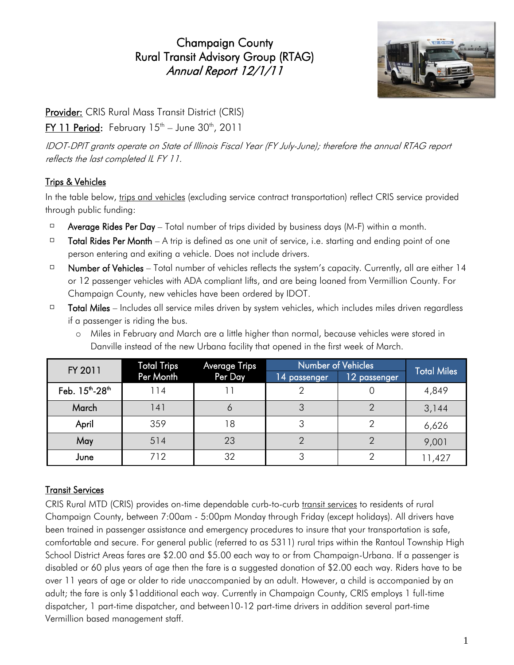Champaign County Rural Transit Advisory Group (RTAG) Annual Report 12/1/11



Provider: CRIS Rural Mass Transit District (CRIS)

<mark>FY 11 Period</mark>: February 15<sup>th</sup> – June 30<sup>th</sup>, 2011

IDOT-DPIT grants operate on State of Illinois Fiscal Year (FY July-June); therefore the annual RTAG report reflects the last completed IL FY 11.

# Trips & Vehicles

In the table below, trips and vehicles (excluding service contract transportation) reflect CRIS service provided through public funding:

- $\Box$ Average Rides Per Day – Total number of trips divided by business days (M-F) within a month.
- $\Box$ Total Rides Per Month – A trip is defined as one unit of service, i.e. starting and ending point of one person entering and exiting a vehicle. Does not include drivers.
- $\Box$ Number of Vehicles – Total number of vehicles reflects the system's capacity. Currently, all are either 14 or 12 passenger vehicles with ADA compliant lifts, and are being loaned from Vermillion County. For Champaign County, new vehicles have been ordered by IDOT.
- $\hfill \square$ Total Miles – Includes all service miles driven by system vehicles, which includes miles driven regardless if a passenger is riding the bus.
	- o Miles in February and March are a little higher than normal, because vehicles were stored in Danville instead of the new Urbana facility that opened in the first week of March.

| FY 2011                                 | <b>Total Trips</b> | Average Trips | Number of Vehicles | <b>Total Miles</b> |        |  |
|-----------------------------------------|--------------------|---------------|--------------------|--------------------|--------|--|
|                                         | Per Month          | Per Day       | 14 passenger       | 12 passenger       |        |  |
| Feb. 15 <sup>th</sup> -28 <sup>th</sup> | 114                |               |                    |                    | 4,849  |  |
| March                                   | 141                | O             |                    |                    | 3,144  |  |
| April                                   | 359                | 18            |                    |                    | 6,626  |  |
| May                                     | 514                | 23            |                    |                    | 9,001  |  |
| June                                    | 712                | 32            |                    |                    | 11,427 |  |

# Transit Services

CRIS Rural MTD (CRIS) provides on-time dependable curb-to-curb transit services to residents of rural Champaign County, between 7:00am - 5:00pm Monday through Friday (except holidays). All drivers have been trained in passenger assistance and emergency procedures to insure that your transportation is safe, comfortable and secure. For general public (referred to as 5311) rural trips within the Rantoul Township High School District Areas fares are \$2.00 and \$5.00 each way to or from Champaign-Urbana. If a passenger is disabled or 60 plus years of age then the fare is a suggested donation of \$2.00 each way. Riders have to be over 11 years of age or older to ride unaccompanied by an adult. However, a child is accompanied by an adult; the fare is only \$1additional each way. Currently in Champaign County, CRIS employs 1 full-time dispatcher, 1 part-time dispatcher, and between10-12 part-time drivers in addition several part-time Vermillion based management staff.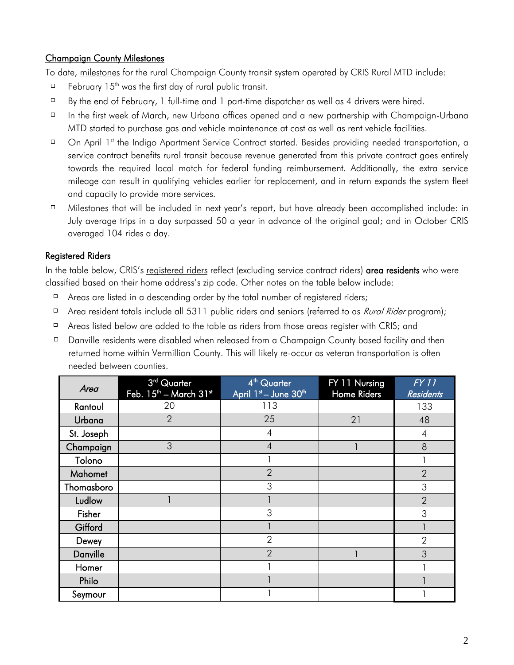## Champaign County Milestones

To date, milestones for the rural Champaign County transit system operated by CRIS Rural MTD include:

- $\Box$ February  $15<sup>th</sup>$  was the first day of rural public transit.
- $\Box$ By the end of February, 1 full-time and 1 part-time dispatcher as well as 4 drivers were hired.
- $\Box$ In the first week of March, new Urbana offices opened and a new partnership with Champaign-Urbana MTD started to purchase gas and vehicle maintenance at cost as well as rent vehicle facilities.
- $\Box$ On April 1<sup>st</sup> the Indigo Apartment Service Contract started. Besides providing needed transportation, a service contract benefits rural transit because revenue generated from this private contract goes entirely towards the required local match for federal funding reimbursement. Additionally, the extra service mileage can result in qualifying vehicles earlier for replacement, and in return expands the system fleet and capacity to provide more services.
- $\Box$ Milestones that will be included in next year's report, but have already been accomplished include: in July average trips in a day surpassed 50 a year in advance of the original goal; and in October CRIS averaged 104 rides a day.

#### Registered Riders

In the table below, CRIS's registered riders reflect (excluding service contract riders) area residents who were classified based on their home address's zip code. Other notes on the table below include:

- $\Box$ Areas are listed in a descending order by the total number of registered riders;
- $\Box$ Area resident totals include all 5311 public riders and seniors (referred to as *Rural Rider* program);
- $\Box$ Areas listed below are added to the table as riders from those areas register with CRIS; and
- Danville residents were disabled when released from a Champaign County based facility and then  $\Box$ returned home within Vermillion County. This will likely re-occur as veteran transportation is often needed between counties.

| Area       | 3 <sup>rd</sup> Quarter<br>Feb. 15 <sup>th</sup> - March 31st | 4 <sup>th</sup> Quarter<br>April 1st - June 30th | FY 11 Nursing<br>Home Riders | FY11<br><b>Residents</b> |
|------------|---------------------------------------------------------------|--------------------------------------------------|------------------------------|--------------------------|
| Rantoul    | 20                                                            | 113                                              |                              | 133                      |
| Urbana     | $\overline{2}$                                                | 25                                               | 21                           | 48                       |
| St. Joseph |                                                               | $\overline{4}$                                   |                              | $\overline{4}$           |
| Champaign  | 3                                                             | $\overline{4}$                                   |                              | 8                        |
| Tolono     |                                                               |                                                  |                              |                          |
| Mahomet    |                                                               | $\overline{2}$                                   |                              | $\overline{2}$           |
| Thomasboro |                                                               | 3                                                |                              | 3                        |
| Ludlow     |                                                               |                                                  |                              | $\overline{2}$           |
| Fisher     |                                                               | 3                                                |                              | 3                        |
| Gifford    |                                                               |                                                  |                              |                          |
| Dewey      |                                                               | $\overline{2}$                                   |                              | $\overline{2}$           |
| Danville   |                                                               | $\overline{2}$                                   |                              | 3                        |
| Homer      |                                                               |                                                  |                              |                          |
| Philo      |                                                               |                                                  |                              |                          |
| Seymour    |                                                               |                                                  |                              |                          |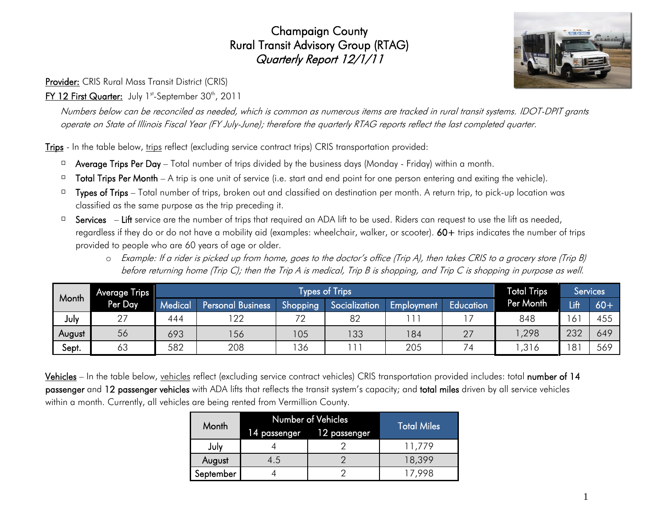# Champaign County Rural Transit Advisory Group (RTAG) Quarterly Report 12/1/11

Provider: CRIS Rural Mass Transit District (CRIS)

## **<u>FY 12 First Quarter:</u>** July 1st-September 30th, 2011

Numbers below can be reconciled as needed, which is common as numerous items are tracked in rural transit systems. IDOT-DPIT grants operate on State of Illinois Fiscal Year (FY July-June); therefore the quarterly RTAG reports reflect the last completed quarter.

Trips - In the table below, trips reflect (excluding service contract trips) CRIS transportation provided:

- $\Box$  Average Trips Per Day Total number of trips divided by the business days (Monday Friday) within a month.
- $\Box$  Total Trips Per Month A trip is one unit of service (i.e. start and end point for one person entering and exiting the vehicle).
- $\Box$  Types of Trips Total number of trips, broken out and classified on destination per month. A return trip, to pick-up location was classified as the same purpose as the trip preceding it.
- Services Lift service are the number of trips that required an ADA lift to be used. Riders can request to use the lift as needed,  $\Box$ regardless if they do or do not have a mobility aid (examples: wheelchair, walker, or scooter). 60+ trips indicates the number of trips provided to people who are 60 years of age or older.
	- o Example: If a rider is picked up from home, goes to the doctor's office (Trip A), then takes CRIS to a grocery store (Trip B) before returning home (Trip C); then the Trip A is medical, Trip B is shopping, and Trip C is shopping in purpose as well.

|        | Average Trips | Types of Trips <sup>1</sup> |                          |          |               |            | <b>Total Trips</b> |           | Services   |       |
|--------|---------------|-----------------------------|--------------------------|----------|---------------|------------|--------------------|-----------|------------|-------|
| Month  | Per Day       | Medical                     | <b>Personal Business</b> | Shopping | Socialization | Employment | Education          | Per Month | Lift       | $60+$ |
| July   | 27            | 444                         | 122                      | 70       | 82            |            |                    | 848       |            | 455   |
| August | 56            | 693                         | 156                      | 105      | 133           | 184        | 27                 | ,298      | 232        | 649   |
| Sept.  | 63            | 582                         | 208                      | 136      |               | 205        | 74                 | ,316      | 1 Q 1<br>ပ | 569   |

Vehicles – In the table below, vehicles reflect (excluding service contract vehicles) CRIS transportation provided includes: total number of 14 passenger and 12 passenger vehicles with ADA lifts that reflects the transit system's capacity; and total miles driven by all service vehicles within a month. Currently, all vehicles are being rented from Vermillion County.

| Month     | Number of Vehicles        | <b>Total Miles</b> |        |
|-----------|---------------------------|--------------------|--------|
|           | 14 passenger 12 passenger |                    |        |
| July      |                           |                    | 11.779 |
| August    | 4.5                       |                    | 18,399 |
| September |                           |                    | ' 998  |